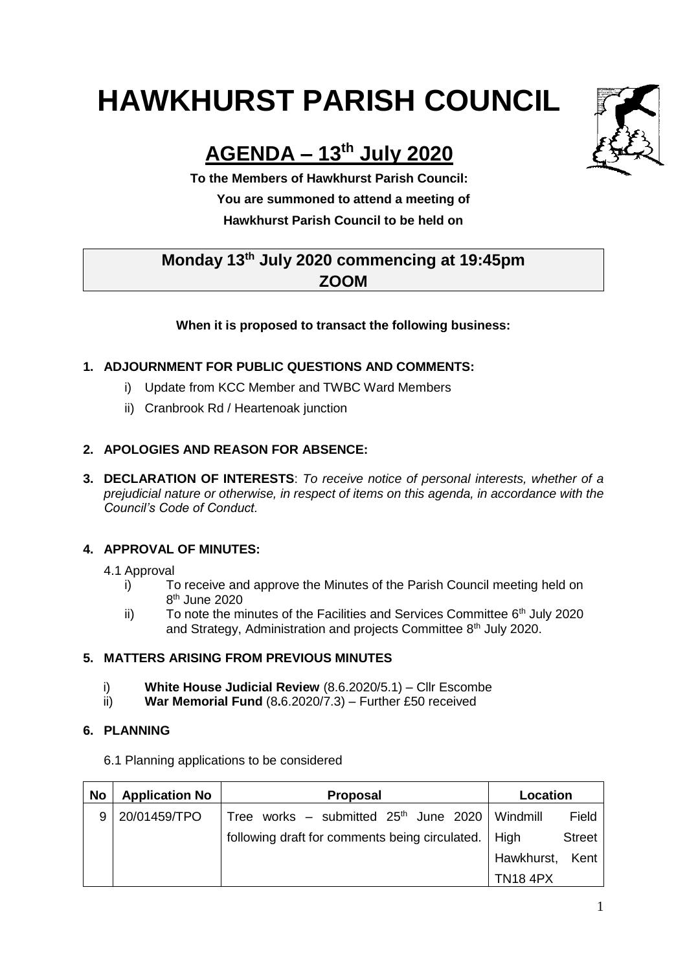# **HAWKHURST PARISH COUNCIL**

# **AGENDA – 13th July 2020**

**To the Members of Hawkhurst Parish Council: You are summoned to attend a meeting of**

**Monday 13th July 2020 commencing at 19:45pm**

**Hawkhurst Parish Council to be held on**

# **ZOOM**

# **When it is proposed to transact the following business:**

# **1. ADJOURNMENT FOR PUBLIC QUESTIONS AND COMMENTS:**

- i) Update from KCC Member and TWBC Ward Members
- ii) Cranbrook Rd / Heartenoak junction

## **2. APOLOGIES AND REASON FOR ABSENCE:**

**3. DECLARATION OF INTERESTS**: *To receive notice of personal interests, whether of a prejudicial nature or otherwise, in respect of items on this agenda, in accordance with the Council's Code of Conduct.*

#### **4. APPROVAL OF MINUTES:**

- 4.1 Approval
	- i) To receive and approve the Minutes of the Parish Council meeting held on 8 th June 2020
	- ii) To note the minutes of the Facilities and Services Committee  $6<sup>th</sup>$  July 2020 and Strategy, Administration and projects Committee 8<sup>th</sup> July 2020.

## **5. MATTERS ARISING FROM PREVIOUS MINUTES**

- i) **White House Judicial Review** (8.6.2020/5.1) Cllr Escombe
- ii) **War Memorial Fund** (8**.**6.2020/7.3) Further £50 received

#### **6. PLANNING**

6.1 Planning applications to be considered

| <b>No</b> | <b>Application No</b> | <b>Proposal</b>                                       | Location        |               |
|-----------|-----------------------|-------------------------------------------------------|-----------------|---------------|
|           | 20/01459/TPO          | Tree works – submitted $25th$ June 2020   Windmill    |                 | Field         |
|           |                       | following draft for comments being circulated.   High |                 | <b>Street</b> |
|           |                       |                                                       | Hawkhurst, Kent |               |
|           |                       |                                                       | <b>TN18 4PX</b> |               |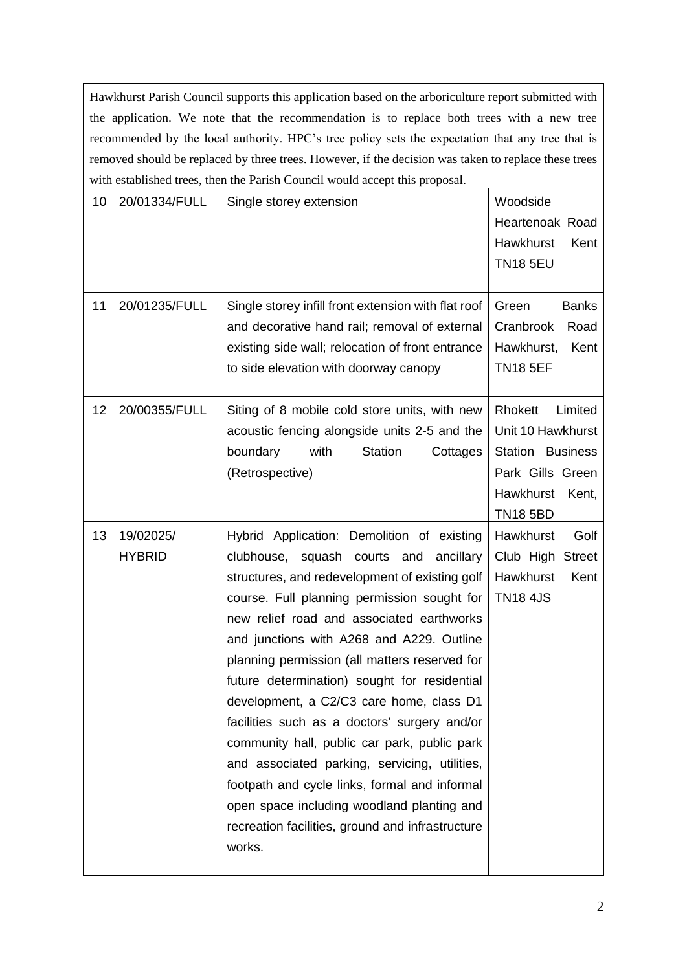Hawkhurst Parish Council supports this application based on the arboriculture report submitted with the application. We note that the recommendation is to replace both trees with a new tree recommended by the local authority. HPC's tree policy sets the expectation that any tree that is removed should be replaced by three trees. However, if the decision was taken to replace these trees with established trees, then the Parish Council would accept this proposal.

| 10 | 20/01334/FULL              | Single storey extension                                                                                                                                                                                                                                                                                                                                                                                                                                                                                                                                                                                                                                                                                                                    | Woodside<br>Heartenoak Road<br>Hawkhurst<br>Kent<br><b>TN18 5EU</b>                                                             |
|----|----------------------------|--------------------------------------------------------------------------------------------------------------------------------------------------------------------------------------------------------------------------------------------------------------------------------------------------------------------------------------------------------------------------------------------------------------------------------------------------------------------------------------------------------------------------------------------------------------------------------------------------------------------------------------------------------------------------------------------------------------------------------------------|---------------------------------------------------------------------------------------------------------------------------------|
| 11 | 20/01235/FULL              | Single storey infill front extension with flat roof<br>and decorative hand rail; removal of external<br>existing side wall; relocation of front entrance<br>to side elevation with doorway canopy                                                                                                                                                                                                                                                                                                                                                                                                                                                                                                                                          | Green<br><b>Banks</b><br>Cranbrook<br>Road<br>Hawkhurst,<br>Kent<br><b>TN18 5EF</b>                                             |
| 12 | 20/00355/FULL              | Siting of 8 mobile cold store units, with new<br>acoustic fencing alongside units 2-5 and the<br>boundary<br>with<br><b>Station</b><br>Cottages<br>(Retrospective)                                                                                                                                                                                                                                                                                                                                                                                                                                                                                                                                                                         | Rhokett<br>Limited<br>Unit 10 Hawkhurst<br><b>Station Business</b><br>Park Gills Green<br>Hawkhurst<br>Kent,<br><b>TN18 5BD</b> |
| 13 | 19/02025/<br><b>HYBRID</b> | Hybrid Application: Demolition of existing<br>clubhouse, squash courts and ancillary<br>structures, and redevelopment of existing golf<br>course. Full planning permission sought for<br>new relief road and associated earthworks<br>and junctions with A268 and A229. Outline<br>planning permission (all matters reserved for<br>future determination) sought for residential<br>development, a C2/C3 care home, class D1<br>facilities such as a doctors' surgery and/or<br>community hall, public car park, public park<br>and associated parking, servicing, utilities,<br>footpath and cycle links, formal and informal<br>open space including woodland planting and<br>recreation facilities, ground and infrastructure<br>works. | Hawkhurst<br>Golf<br>Club High Street<br>Hawkhurst<br>Kent<br><b>TN18 4JS</b>                                                   |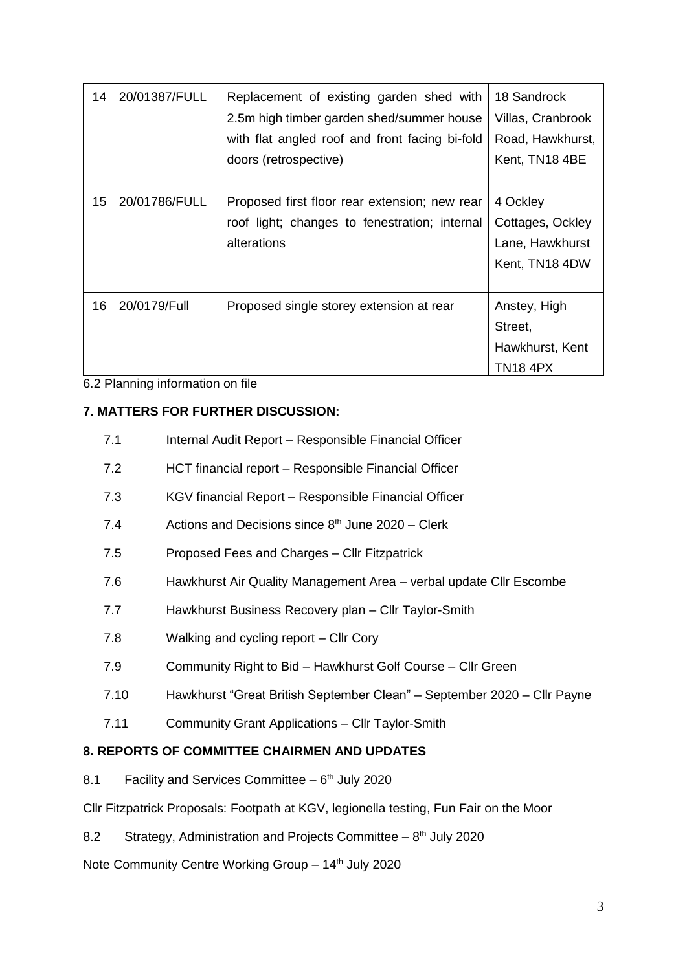| 14 | 20/01387/FULL | Replacement of existing garden shed with       | 18 Sandrock       |
|----|---------------|------------------------------------------------|-------------------|
|    |               | 2.5m high timber garden shed/summer house      | Villas, Cranbrook |
|    |               | with flat angled roof and front facing bi-fold | Road, Hawkhurst,  |
|    |               | doors (retrospective)                          | Kent, TN18 4BE    |
|    |               |                                                |                   |
| 15 | 20/01786/FULL | Proposed first floor rear extension; new rear  | 4 Ockley          |
|    |               | roof light; changes to fenestration; internal  | Cottages, Ockley  |
|    |               | alterations                                    | Lane, Hawkhurst   |
|    |               |                                                | Kent, TN18 4DW    |
|    |               |                                                |                   |
| 16 | 20/0179/Full  | Proposed single storey extension at rear       | Anstey, High      |
|    |               |                                                | Street,           |
|    |               |                                                | Hawkhurst, Kent   |
|    |               |                                                | TN18 4PX          |

6.2 Planning information on file

#### **7. MATTERS FOR FURTHER DISCUSSION:**

- 7.1 Internal Audit Report Responsible Financial Officer
- 7.2 HCT financial report Responsible Financial Officer
- 7.3 KGV financial Report Responsible Financial Officer
- 7.4 Actions and Decisions since 8<sup>th</sup> June 2020 Clerk
- 7.5 Proposed Fees and Charges Cllr Fitzpatrick
- 7.6 Hawkhurst Air Quality Management Area verbal update Cllr Escombe
- 7.7 Hawkhurst Business Recovery plan Cllr Taylor-Smith
- 7.8 Walking and cycling report Cllr Cory
- 7.9 Community Right to Bid Hawkhurst Golf Course Cllr Green
- 7.10 Hawkhurst "Great British September Clean" September 2020 Cllr Payne
- 7.11 Community Grant Applications Cllr Taylor-Smith

#### **8. REPORTS OF COMMITTEE CHAIRMEN AND UPDATES**

8.1 Facility and Services Committee - 6<sup>th</sup> July 2020

Cllr Fitzpatrick Proposals: Footpath at KGV, legionella testing, Fun Fair on the Moor

8.2 Strategy, Administration and Projects Committee  $-8<sup>th</sup>$  July 2020

Note Community Centre Working Group - 14<sup>th</sup> July 2020